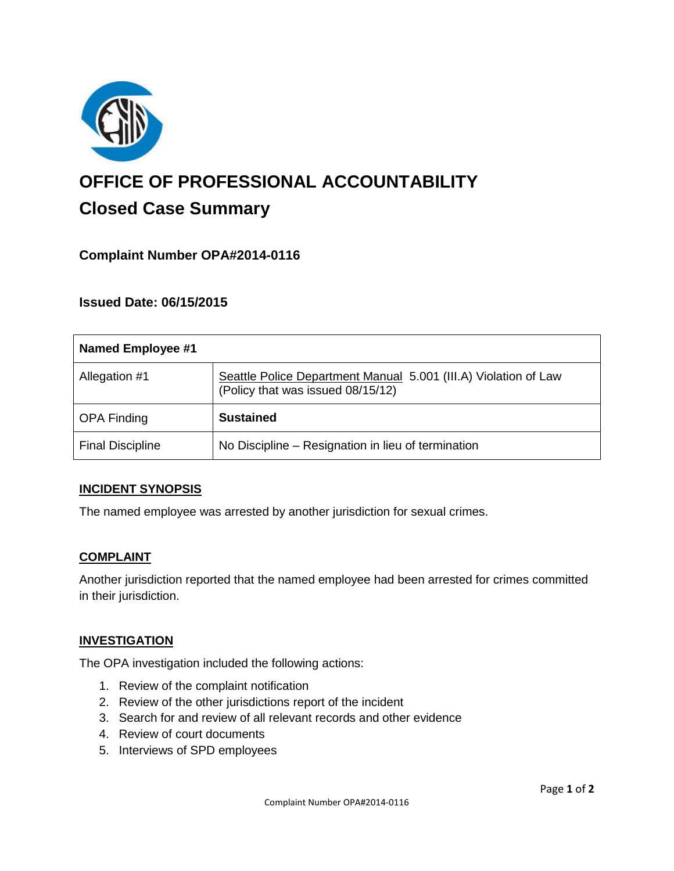

# **OFFICE OF PROFESSIONAL ACCOUNTABILITY Closed Case Summary**

## **Complaint Number OPA#2014-0116**

### **Issued Date: 06/15/2015**

| <b>Named Employee #1</b> |                                                                                                      |
|--------------------------|------------------------------------------------------------------------------------------------------|
| Allegation #1            | Seattle Police Department Manual 5.001 (III.A) Violation of Law<br>(Policy that was issued 08/15/12) |
| <b>OPA Finding</b>       | <b>Sustained</b>                                                                                     |
| <b>Final Discipline</b>  | No Discipline - Resignation in lieu of termination                                                   |

#### **INCIDENT SYNOPSIS**

The named employee was arrested by another jurisdiction for sexual crimes.

#### **COMPLAINT**

Another jurisdiction reported that the named employee had been arrested for crimes committed in their jurisdiction.

#### **INVESTIGATION**

The OPA investigation included the following actions:

- 1. Review of the complaint notification
- 2. Review of the other jurisdictions report of the incident
- 3. Search for and review of all relevant records and other evidence
- 4. Review of court documents
- 5. Interviews of SPD employees